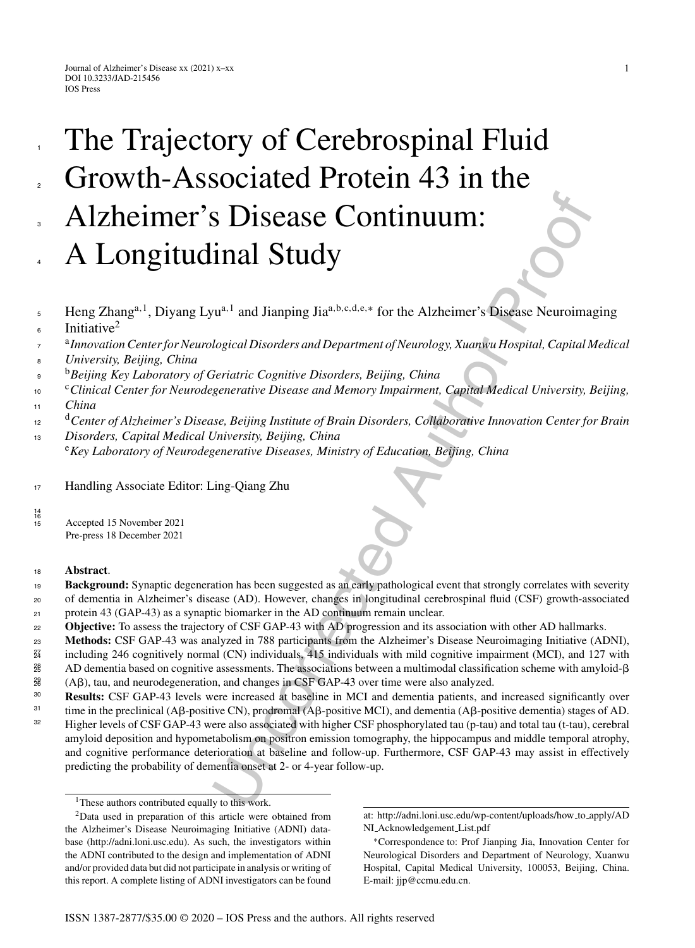# S Disease Continuum:<br>
inal Study<br>
inal Study<br>
inal Study<br>
inal inapping Jia<sup>a,b.c.d.c.\*</sup> for the Alzheimer's Disease Neuroima<br>
logical Disorders and Department of Neurology, Xuanswu Hospital, Capital M<br>
increases the Diso The Trajectory of Cerebrospinal Fluid Growth-Associated Protein 43 in the Alzheimer's Disease Continuum: A Longitudinal Study

- Heng Zhanga*,*1, Diyang Lyua*,*<sup>1</sup> and Jianping Jiaa*,*b*,*c*,*d*,*e*,*<sup>∗</sup> for the Alzheimer's Disease Neuroimaging Initiative<sup>2</sup> 5 6
- <sup>a</sup>*Innovation Center for Neurological Disorders and Department of Neurology, Xuanwu Hospital, Capital Medical* 7
- *University, Beijing, China* 8
- <sup>b</sup> <sup>9</sup> *Beijing Key Laboratory of Geriatric Cognitive Disorders, Beijing, China*
- <sup>c</sup>*Clinical Center for Neurodegenerative Disease and Memory Impairment, Capital Medical University, Beijing,* 10
- *China* 11

1

2

3

4

- <sup>d</sup>*Center of Alzheimer's Disease, Beijing Institute of Brain Disorders, Collaborative Innovation Center for Brain* 12
- *Disorders, Capital Medical University, Beijing, China* 13 <sup>e</sup>*Key Laboratory of Neurodegenerative Diseases, Ministry of Education, Beijing, China*
- <sup>17</sup> Handling Associate Editor: Ling-Qiang Zhu
- <sup>15</sup> Accepted 15 November 2021 Pre-press 18 December 2021

# <sup>18</sup> **Abstract**.

14 16

- **Background:** Synaptic degeneration has been suggested as an early pathological event that strongly correlates with severity of dementia in Alzheimer's disease (AD). However, changes in longitudinal cerebrospinal fluid (CSF) growth-associated protein 43 (GAP-43) as a synaptic biomarker in the AD continuum remain unclear. 19 20 21
- <sup>22</sup> **Objective:** To assess the trajectory of CSF GAP-43 with AD progression and its association with other AD hallmarks.
- **Methods:** CSF GAP-43 was analyzed in 788 participants from the Alzheimer's Disease Neuroimaging Initiative (ADNI), 23
- including 246 cognitively normal (CN) individuals, 415 individuals with mild cognitive impairment (MCI), and 127 with 24 27
- AD dementia based on cognitive assessments. The associations between a multimodal classification scheme with amyloid- $\beta$ 25 28
- $(A\beta)$ , tau, and neurodegeneration, and changes in CSF GAP-43 over time were also analyzed. 26 29
- **Results:** CSF GAP-43 levels were increased at baseline in MCI and dementia patients, and increased significantly over 30 31
- time in the preclinical (Aβ-positive CN), prodromal (Aβ-positive MCI), and dementia (Aβ-positive dementia) stages of AD. Higher levels of CSF GAP-43 were also associated with higher CSF phosphorylated tau (p-tau) and total tau (t-tau), cerebral amyloid deposition and hypometabolism on positron emission tomography, the hippocampus and middle temporal atrophy, and cognitive performance deterioration at baseline and follow-up. Furthermore, CSF GAP-43 may assist in effectively predicting the probability of dementia onset at 2- or 4-year follow-up. 32

<sup>&</sup>lt;sup>1</sup>These authors contributed equally to this work.

<sup>2</sup>Data used in preparation of this article were obtained from the Alzheimer's Disease Neuroimaging Initiative (ADNI) database (<http://adni.loni.usc.edu>). As such, the investigators within the ADNI contributed to the design and implementation of ADNI and/or provided data but did not participate in analysis or writing of this report. A complete listing of ADNI investigators can be found

at: [http://adni.loni.usc.edu/wp-content/uploads/how](http://adni.loni.usc.edu/wp-content/uploads/how_to_apply/ADNI_Acknowledgement_List.pdf) to apply/AD NI Acknowledgement List.pdf

<sup>∗</sup>Correspondence to: Prof Jianping Jia, Innovation Center for Neurological Disorders and Department of Neurology, Xuanwu Hospital, Capital Medical University, 100053, Beijing, China. E-mail: [jjp@ccmu.edu.cn.](mailto:jjp@ccmu.edu.cn)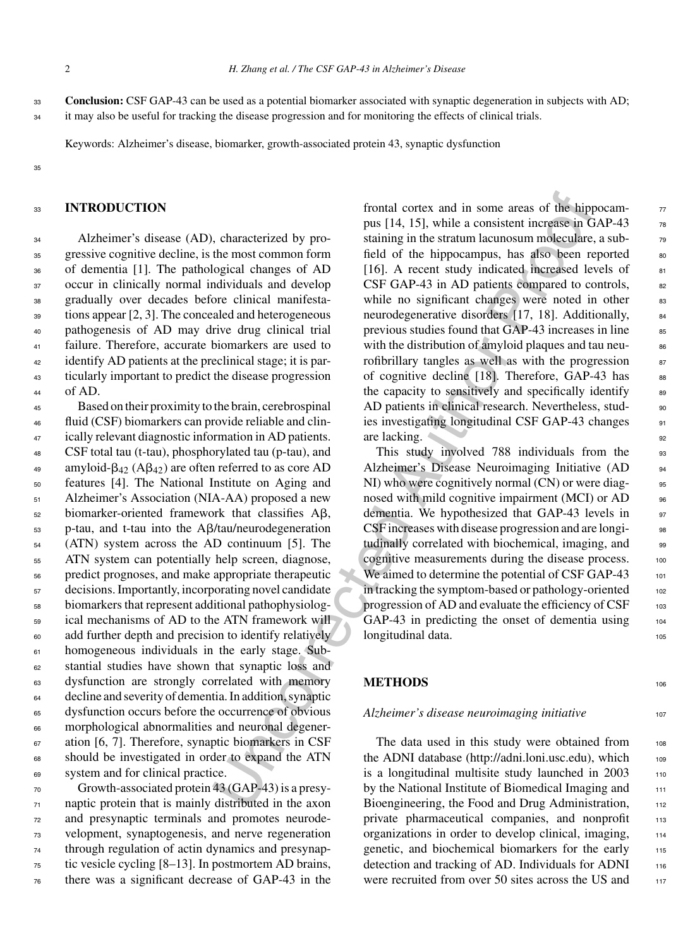it may also be useful for tracking the disease progression and for monitoring the effects of clinical trials.

Keywords: Alzheimer's disease, biomarker, growth-associated protein 43, synaptic dysfunction

#### 35

#### <sup>33</sup> **INTRODUCTION**

 Alzheimer's disease (AD), characterized by pro- gressive cognitive decline, is the most common form of dementia [1]. The pathological changes of AD occur in clinically normal individuals and develop gradually over decades before clinical manifesta- tions appear [2, 3]. The concealed and heterogeneous pathogenesis of AD may drive drug clinical trial failure. Therefore, accurate biomarkers are used to <sup>42</sup> identify AD patients at the preclinical stage; it is par- ticularly important to predict the disease progression  $44$  of AD.

 Based on their proximity to the brain, cerebrospinal fluid (CSF) biomarkers can provide reliable and clin- ically relevant diagnostic information in AD patients. CSF total tau (t-tau), phosphorylated tau (p-tau), and as amyloid- $\beta_{42}$  (A $\beta_{42}$ ) are often referred to as core AD features [4]. The National Institute on Aging and Alzheimer's Association (NIA-AA) proposed a new biomarker-oriented framework that classifies A $\beta$ , <sub>53</sub> p-tau, and t-tau into the Aβ/tau/neurodegeneration (ATN) system across the AD continuum [5]. The ATN system can potentially help screen, diagnose, predict prognoses, and make appropriate therapeutic decisions. Importantly, incorporating novel candidate biomarkers that represent additional pathophysiolog- ical mechanisms of AD to the ATN framework will add further depth and precision to identify relatively homogeneous individuals in the early stage. Sub- stantial studies have shown that synaptic loss and dysfunction are strongly correlated with memory decline and severity of dementia. In addition, synaptic dysfunction occurs before the occurrence of obvious morphological abnormalities and neuronal degener- ation [6, 7]. Therefore, synaptic biomarkers in CSF should be investigated in order to expand the ATN system and for clinical practice.

 Growth-associated protein 43 (GAP-43) is a presy- naptic protein that is mainly distributed in the axon and presynaptic terminals and promotes neurode- velopment, synaptogenesis, and nerve regeneration through regulation of actin dynamics and presynap- tic vesicle cycling [8–13]. In postmortem AD brains, there was a significant decrease of GAP-43 in the

frontal cortex and in some areas of the hipper<br>
past (a), characterized by pro-<br>
istaining in the straining in the straining information consister in terms<br>
taining in the straining information corrections the most common frontal cortex and in some areas of the hippocampus  $[14, 15]$ , while a consistent increase in GAP-43  $\frac{1}{28}$ staining in the stratum lacunosum moleculare, a subfield of the hippocampus, has also been reported  $\frac{1}{80}$ [16]. A recent study indicated increased levels of  $81$ CSF GAP-43 in AD patients compared to controls,  $\frac{82}{2}$ while no significant changes were noted in other 83 neurodegenerative disorders [17, 18]. Additionally, previous studies found that GAP-43 increases in line 85 with the distribution of amyloid plaques and tau neurofibrillary tangles as well as with the progression  $87$ of cognitive decline  $[18]$ . Therefore, GAP-43 has 88 the capacity to sensitively and specifically identify  $\frac{1}{89}$ AD patients in clinical research. Nevertheless, stud- 90 ies investigating longitudinal CSF GAP-43 changes 91 are lacking.

This study involved 788 individuals from the 93 Alzheimer's Disease Neuroimaging Initiative (AD 94 NI) who were cognitively normal (CN) or were diagnosed with mild cognitive impairment (MCI) or AD 96 dementia. We hypothesized that GAP-43 levels in 97 CSF increases with disease progression and are longitudinally correlated with biochemical, imaging, and 99 cognitive measurements during the disease process. 100 We aimed to determine the potential of CSF GAP-43 101 in tracking the symptom-based or pathology-oriented 102 progression of AD and evaluate the efficiency of CSF 103 GAP-43 in predicting the onset of dementia using 104 longitudinal data.

## **METHODS** 106

#### *Alzheimer's disease neuroimaging initiative* 107

The data used in this study were obtained from 108 the ADNI database (http://adni.loni.usc.edu), which 109 is a longitudinal multisite study launched in  $2003$  110 by the National Institute of Biomedical Imaging and 111 Bioengineering, the Food and Drug Administration, 112 private pharmaceutical companies, and nonprofit 113 organizations in order to develop clinical, imaging, <sup>114</sup> genetic, and biochemical biomarkers for the early 115 detection and tracking of AD. Individuals for ADNI 116 were recruited from over 50 sites across the US and 117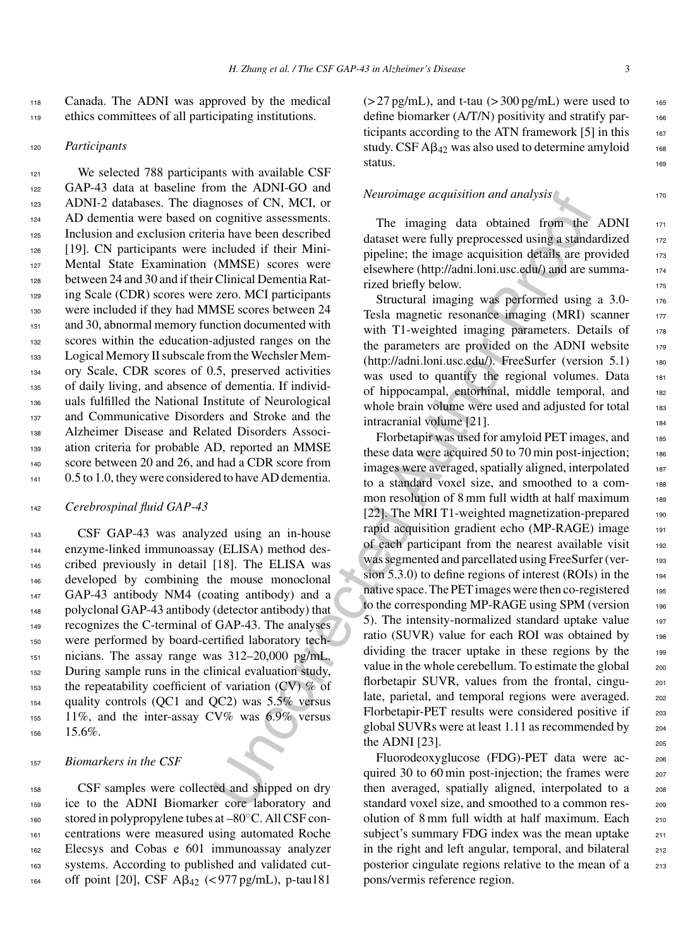<sup>118</sup> Canada. The ADNI was approved by the medical <sup>119</sup> ethics committees of all participating institutions.

121 We selected 788 participants with available CSF GAP-43 data at baseline from the ADNI-GO and ADNI-2 databases. The diagnoses of CN, MCI, or 124 AD dementia were based on cognitive assessments. Inclusion and exclusion criteria have been described [19]. CN participants were included if their Mini- Mental State Examination (MMSE) scores were between 24 and 30 and if their Clinical Dementia Rat- ing Scale (CDR) scores were zero. MCI participants were included if they had MMSE scores between 24 131 and 30, abnormal memory function documented with scores within the education-adjusted ranges on the Logical Memory II subscale from the Wechsler Mem- ory Scale, CDR scores of 0.5, preserved activities of daily living, and absence of dementia. If individ- uals fulfilled the National Institute of Neurological and Communicative Disorders and Stroke and the Alzheimer Disease and Related Disorders Associ- ation criteria for probable AD, reported an MMSE score between 20 and 26, and had a CDR score from 141 0.5 to 1.0, they were considered to have AD dementia.

#### <sup>142</sup> *Cerebrospinal fluid GAP-43*

 CSF GAP-43 was analyzed using an in-house enzyme-linked immunoassay (ELISA) method des- cribed previously in detail [18]. The ELISA was developed by combining the mouse monoclonal GAP-43 antibody NM4 (coating antibody) and a polyclonal GAP-43 antibody (detector antibody) that recognizes the C-terminal of GAP-43. The analyses were performed by board-certified laboratory tech- nicians. The assay range was 312–20,000 pg/mL. During sample runs in the clinical evaluation study, the repeatability coefficient of variation (CV) % of quality controls (QC1 and QC2) was 5.5% versus 11%, and the inter-assay CV% was 6.9% versus <sup>156</sup> 15.6%.

#### <sup>157</sup> *Biomarkers in the CSF*

 CSF samples were collected and shipped on dry ice to the ADNI Biomarker core laboratory and 160 stored in polypropylene tubes at –80°C. All CSF con- centrations were measured using automated Roche Elecsys and Cobas e 601 immunoassay analyzer systems. According to published and validated cut-164 off point [20], CSF Aβ<sub>42</sub> (<977 pg/mL), p-tau181  $(>27 \text{ pg/mL})$ , and t-tau  $(>300 \text{ pg/mL})$  were used to 165 define biomarker  $(A/T/N)$  positivity and stratify participants according to the ATN framework  $[5]$  in this  $167$ study. CSF  $\mathbf{A}\beta_{42}$  was also used to determine amyloid 168 status. 169

### *Neuroimage acquisition and analysis*

The imaging data obtained from the ADNI 171 dataset were fully preprocessed using a standardized 172 pipeline; the image acquisition details are provided  $173$ elsewhere (http://adni.loni.usc.edu/) and are summa- <sup>174</sup> rized briefly below.

Structural imaging was performed using a 3.0-Tesla magnetic resonance imaging (MRI) scanner 177 with T1-weighted imaging parameters. Details of  $178$ the parameters are provided on the ADNI website 179 (http://adni.loni.usc.edu/). FreeSurfer (version 5.1) 180 was used to quantify the regional volumes. Data 181 of hippocampal, entorhinal, middle temporal, and <sup>182</sup> whole brain volume were used and adjusted for total 183 intracranial volume [21].

Energy that the minimage acquisition and analysis<br>
enouses of CN, MCI, [or](http://adni.loni.usc.edu/)<br>
consists of CN, MCI, or<br>
consists of CN, MCI, or<br>
included if their Mini-<br>
included if their Mini-<br>
included it and behavior entergy that obtained Florbetapir was used for amyloid PET images, and 185 these data were acquired 50 to 70 min post-injection;  $186$ images were averaged, spatially aligned, interpolated 187 to a standard voxel size, and smoothed to a com-<br>188 mon resolution of 8 mm full width at half maximum 189 [22]. The MRI T1-weighted magnetization-prepared 190 rapid acquisition gradient echo (MP-RAGE) image 191 of each participant from the nearest available visit 192 was segmented and parcellated using FreeSurfer (version 5.3.0) to define regions of interest  $(ROIs)$  in the 194 native space. The PET images were then co-registered 195 to the corresponding MP-RAGE using SPM (version 196 5). The intensity-normalized standard uptake value  $197$ ratio (SUVR) value for each ROI was obtained by 198 dividing the tracer uptake in these regions by the 199 value in the whole cerebellum. To estimate the global  $_{200}$ florbetapir SUVR, values from the frontal, cingu-<br>201 late, parietal, and temporal regions were averaged. 202 Florbetapir-PET results were considered positive if 203 global SUVRs were at least 1.11 as recommended by <sup>204</sup> the ADNI  $[23]$ .

Fluorodeoxyglucose (FDG)-PET data were ac- <sup>206</sup> quired 30 to 60 min post-injection; the frames were 207 then averaged, spatially aligned, interpolated to a 208 standard voxel size, and smoothed to a common res-<br>209 olution of 8 mm full width at half maximum. Each <sup>210</sup> subject's summary FDG index was the mean uptake 211 in the right and left angular, temporal, and bilateral  $212$ posterior cingulate regions relative to the mean of a 213 pons/vermis reference region.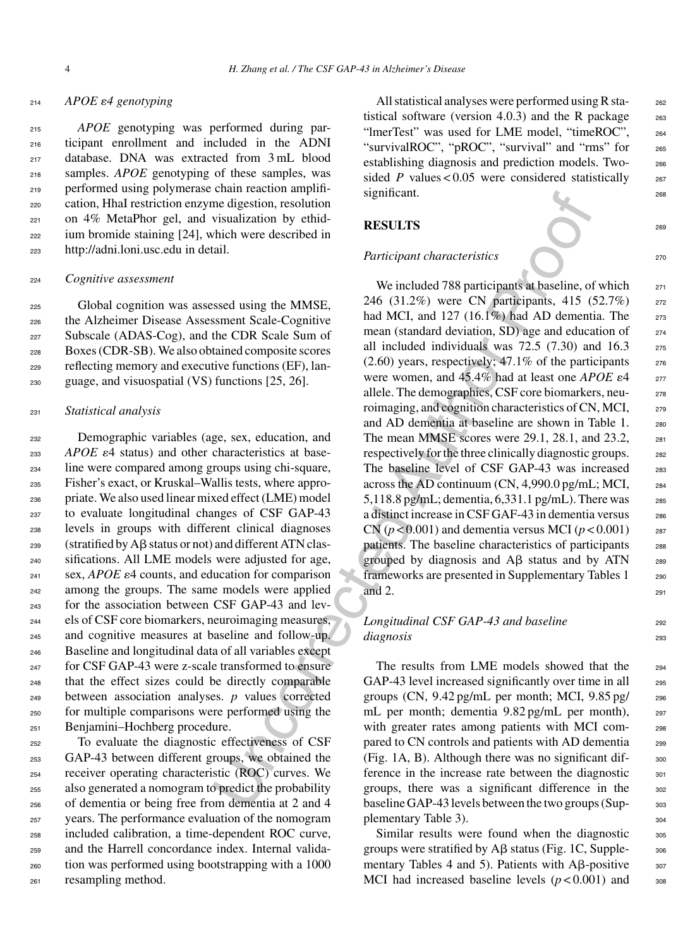#### <sup>214</sup> *APOE 4 genotyping*

 *APOE* genotyping was performed during par- ticipant enrollment and included in the ADNI database. DNA was extracted from 3 mL blood samples. *APOE* genotyping of these samples, was performed using polymerase chain reaction amplifi- cation, HhaI restriction enzyme digestion, resolution on 4% MetaPhor gel, and visualization by ethid- ium bromide staining [24], which were described in <http://adni.loni.usc.edu> in detail.

#### <sup>224</sup> *Cognitive assessment*

 Global cognition was assessed using the MMSE, the Alzheimer Disease Assessment Scale-Cognitive 227 Subscale (ADAS-Cog), and the CDR Scale Sum of Boxes (CDR-SB). We also obtained composite scores reflecting memory and executive functions (EF), lan-guage, and visuospatial (VS) functions [25, 26].

#### <sup>231</sup> *Statistical analysis*

 Demographic variables (age, sex, education, and *APOE*  $\varepsilon$ 4 status) and other characteristics at base- line were compared among groups using chi-square, Fisher's exact, or Kruskal–Wallis tests, where appro- priate. We also used linear mixed effect (LME) model to evaluate longitudinal changes of CSF GAP-43 levels in groups with different clinical diagnoses 239 (stratified by  $\mathsf{A}\beta$  status or not) and different ATN clas- sifications. All LME models were adjusted for age,  $\mathcal{L}_{241}$  sex, *APOE*  $\varepsilon$ 4 counts, and education for comparison among the groups. The same models were applied for the association between CSF GAP-43 and lev- els of CSF core biomarkers, neuroimaging measures, and cognitive measures at baseline and follow-up. Baseline and longitudinal data of all variables except for CSF GAP-43 were z-scale transformed to ensure that the effect sizes could be directly comparable between association analyses. *p* values corrected for multiple comparisons were performed using the Benjamini–Hochberg procedure.

 To evaluate the diagnostic effectiveness of CSF GAP-43 between different groups, we obtained the receiver operating characteristic (ROC) curves. We also generated a nomogram to predict the probability of dementia or being free from dementia at 2 and 4 years. The performance evaluation of the nomogram included calibration, a time-dependent ROC curve, and the Harrell concordance index. Internal valida- tion was performed using bootstrapping with a 1000 resampling method.

All statistical analyses were performed using R sta-<br>262 tistical software (version 4.0.3) and the R package  $263$ "ImerTest" was used for LME model, "timeROC", 264 "survivalROC", "pROC", "survival" and "rms" for 265 establishing diagnosis and prediction models. Two- <sup>266</sup> sided *P* values <  $0.05$  were considered statistically  $267$ significant.

## **RESULTS** 269

#### *Participant characteristics* 270

signincant.<br>
Functionary and the digration, resolution<br>
includization by ethid-<br>
with hwere described in<br>
We included 788 participants at baseline, of<br>
and MCI, and 127 (16.1%) were CN participants at Aust<br>
sismessment Sc We included 788 participants at baseline, of which 271 246 (31.2%) were CN participants, 415 (52.7%) <sup>272</sup> had MCI, and  $127$  (16.1%) had AD dementia. The  $273$ mean (standard deviation, SD) age and education of  $_{274}$ all included individuals was  $72.5$   $(7.30)$  and  $16.3$  275  $(2.60)$  years, respectively; 47.1% of the participants  $276$ were women, and  $45.4\%$  had at least one *APOE*  $\varepsilon$ 4  $\qquad$  277 allele. The demographics, CSF core biomarkers, neu-<br>
<sub>278</sub> roimaging, and cognition characteristics of CN, MCI, <sub>279</sub> and AD dementia at baseline are shown in Table 1. 280 The mean MMSE scores were 29.1, 28.1, and 23.2, 281 respectively for the three clinically diagnostic groups. 282 The baseline level of CSF GAP-43 was increased 283 across the AD continuum (CN, 4,990.0 pg/mL; MCI, <sup>284</sup> 5,118.8 pg/mL; dementia,  $6,331.1$  pg/mL). There was  $285$ a distinct increase in CSF GAF-43 in dementia versus 286  $CN (p < 0.001)$  and dementia versus MCI ( $p < 0.001$ ) 287 patients. The baseline characteristics of participants 288 grouped by diagnosis and  $\overrightarrow{AB}$  status and by ATN 289 frameworks are presented in Supplementary Tables 1 290 and 2.  $291$ 

## *Longitudinal CSF GAP-43 and baseline* 292 *diagnosis* <sup>293</sup>

The results from LME models showed that the 294 GAP-43 level increased significantly over time in all 295 groups  $(CN, 9.42 \text{ pg/mL}$  per month; MCI,  $9.85 \text{ pg/}$  296 mL per month; dementia 9.82 pg/mL per month), 297 with greater rates among patients with MCI compared to CN controls and patients with AD dementia <sub>299</sub> (Fig. 1A, B). Although there was no significant dif- $\frac{300}{200}$ ference in the increase rate between the diagnostic <sub>301</sub> groups, there was a significant difference in the 302 baseline GAP-43 levels between the two groups (Sup-303 plementary Table 3). 304

Similar results were found when the diagnostic 305 groups were stratified by  $\mathsf{A}\beta$  status (Fig. 1C, Supple- 306 mentary Tables 4 and 5). Patients with  $\mathsf{A}\beta$ -positive  $\qquad\text{307}$ MCI had increased baseline levels  $(p<0.001)$  and  $\qquad$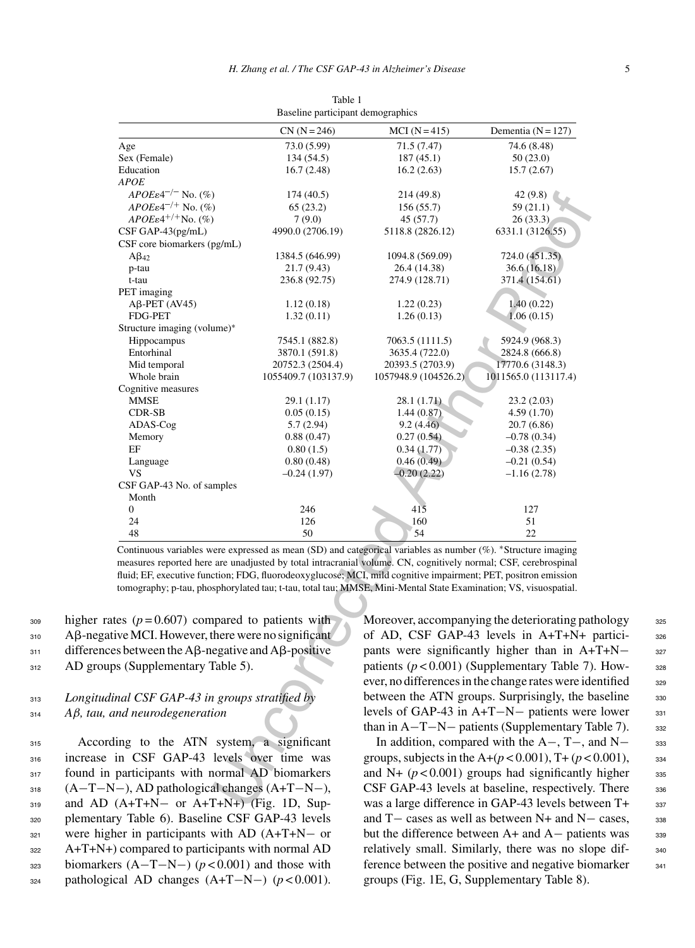|                                                                                                                                                                                                                                                                                                                                                                                                                                                                     | Baseline participant demographics |                                                      |                                                |  |  |
|---------------------------------------------------------------------------------------------------------------------------------------------------------------------------------------------------------------------------------------------------------------------------------------------------------------------------------------------------------------------------------------------------------------------------------------------------------------------|-----------------------------------|------------------------------------------------------|------------------------------------------------|--|--|
|                                                                                                                                                                                                                                                                                                                                                                                                                                                                     | $CN (N = 246)$                    | $MCI (N = 415)$                                      | Dementia ( $N = 127$ )                         |  |  |
| Age                                                                                                                                                                                                                                                                                                                                                                                                                                                                 | 73.0 (5.99)                       | 71.5 (7.47)                                          | 74.6 (8.48)                                    |  |  |
| Sex (Female)                                                                                                                                                                                                                                                                                                                                                                                                                                                        | 134 (54.5)                        | 187(45.1)                                            | 50(23.0)                                       |  |  |
| Education                                                                                                                                                                                                                                                                                                                                                                                                                                                           | 16.7(2.48)                        | 16.2(2.63)                                           | 15.7(2.67)                                     |  |  |
| <i>APOE</i>                                                                                                                                                                                                                                                                                                                                                                                                                                                         |                                   |                                                      |                                                |  |  |
| $APOE\epsilon 4^{-/-}$ No. (%)                                                                                                                                                                                                                                                                                                                                                                                                                                      | 174 (40.5)                        | 214 (49.8)                                           | 42 (9.8)                                       |  |  |
| $APOE\epsilon 4^{-/+}$ No. $(\%)$                                                                                                                                                                                                                                                                                                                                                                                                                                   | 65(23.2)                          | 156 (55.7)                                           | 59 (21.1)                                      |  |  |
| $APOE\epsilon^{4+/+}$ No. (%)                                                                                                                                                                                                                                                                                                                                                                                                                                       | 7(9.0)                            | 45 (57.7)                                            | 26 (33.3)                                      |  |  |
| CSF GAP-43(pg/mL)                                                                                                                                                                                                                                                                                                                                                                                                                                                   | 4990.0 (2706.19)                  | 5118.8 (2826.12)                                     | 6331.1 (3126.55)                               |  |  |
| CSF core biomarkers (pg/mL)                                                                                                                                                                                                                                                                                                                                                                                                                                         |                                   |                                                      |                                                |  |  |
|                                                                                                                                                                                                                                                                                                                                                                                                                                                                     | 1384.5 (646.99)                   | 1094.8 (569.09)                                      | 724.0 (451.35)                                 |  |  |
| $A\beta_{42}$                                                                                                                                                                                                                                                                                                                                                                                                                                                       | 21.7 (9.43)                       | 26.4 (14.38)                                         | 36.6(16.18)                                    |  |  |
| p-tau                                                                                                                                                                                                                                                                                                                                                                                                                                                               | 236.8 (92.75)                     |                                                      | 371.4 (154.61)                                 |  |  |
| t-tau                                                                                                                                                                                                                                                                                                                                                                                                                                                               |                                   | 274.9 (128.71)                                       |                                                |  |  |
| PET imaging                                                                                                                                                                                                                                                                                                                                                                                                                                                         |                                   |                                                      |                                                |  |  |
| $A\beta$ -PET (AV45)                                                                                                                                                                                                                                                                                                                                                                                                                                                | 1.12(0.18)                        | 1.22(0.23)                                           | 1.40(0.22)                                     |  |  |
| <b>FDG-PET</b>                                                                                                                                                                                                                                                                                                                                                                                                                                                      | 1.32(0.11)                        | 1.26(0.13)                                           | 1.06(0.15)                                     |  |  |
| Structure imaging (volume)*                                                                                                                                                                                                                                                                                                                                                                                                                                         |                                   |                                                      |                                                |  |  |
| Hippocampus                                                                                                                                                                                                                                                                                                                                                                                                                                                         | 7545.1 (882.8)                    | 7063.5 (1111.5)                                      | 5924.9 (968.3)                                 |  |  |
| Entorhinal                                                                                                                                                                                                                                                                                                                                                                                                                                                          | 3870.1 (591.8)                    | 3635.4 (722.0)                                       | 2824.8 (666.8)                                 |  |  |
| Mid temporal                                                                                                                                                                                                                                                                                                                                                                                                                                                        | 20752.3 (2504.4)                  | 20393.5 (2703.9)                                     | 17770.6 (3148.3)                               |  |  |
| Whole brain                                                                                                                                                                                                                                                                                                                                                                                                                                                         | 1055409.7 (103137.9)              | 1057948.9 (104526.2)                                 | 1011565.0 (113117.4)                           |  |  |
| Cognitive measures                                                                                                                                                                                                                                                                                                                                                                                                                                                  |                                   |                                                      |                                                |  |  |
| MMSE                                                                                                                                                                                                                                                                                                                                                                                                                                                                | 29.1 (1.17)                       | 28.1 (1.71).                                         | 23.2 (2.03)                                    |  |  |
| CDR-SB                                                                                                                                                                                                                                                                                                                                                                                                                                                              | 0.05(0.15)                        | 1.44(0.87)                                           | 4.59 (1.70)                                    |  |  |
| ADAS-Cog                                                                                                                                                                                                                                                                                                                                                                                                                                                            | 5.7(2.94)                         | 9.2(4.46)                                            | 20.7 (6.86)                                    |  |  |
| Memory                                                                                                                                                                                                                                                                                                                                                                                                                                                              | 0.88(0.47)                        | 0.27(0.54)                                           | $-0.78(0.34)$                                  |  |  |
| EF                                                                                                                                                                                                                                                                                                                                                                                                                                                                  | 0.80(1.5)                         | 0.34(1.77)                                           | $-0.38(2.35)$                                  |  |  |
| Language                                                                                                                                                                                                                                                                                                                                                                                                                                                            | 0.80(0.48)                        | 0.46(0.49)                                           | $-0.21(0.54)$                                  |  |  |
| VS                                                                                                                                                                                                                                                                                                                                                                                                                                                                  | $-0.24(1.97)$                     | $-0.20(2.22)$                                        | $-1.16(2.78)$                                  |  |  |
| CSF GAP-43 No. of samples                                                                                                                                                                                                                                                                                                                                                                                                                                           |                                   |                                                      |                                                |  |  |
| Month                                                                                                                                                                                                                                                                                                                                                                                                                                                               |                                   |                                                      |                                                |  |  |
| 0                                                                                                                                                                                                                                                                                                                                                                                                                                                                   | 246                               | $41\overline{5}$                                     | 127                                            |  |  |
| 24                                                                                                                                                                                                                                                                                                                                                                                                                                                                  | 126                               | 160                                                  | 51                                             |  |  |
| 48                                                                                                                                                                                                                                                                                                                                                                                                                                                                  | 50                                | 54                                                   | 22                                             |  |  |
| Continuous variables were expressed as mean (SD) and categorical variables as number (%). *Structure imaging<br>measures reported here are unadjusted by total intracranial volume. CN, cognitively normal; CSF, cerebrospinal<br>fluid; EF, executive function; FDG, fluorodeoxyglucose; MCI, mild cognitive impairment; PET, positron emission<br>tomography; p-tau, phosphorylated tau; t-tau, total tau; MMSE, Mini-Mental State Examination; VS, visuospatial. |                                   |                                                      |                                                |  |  |
| es ( $p = 0.607$ ) compared to patients with                                                                                                                                                                                                                                                                                                                                                                                                                        |                                   | Moreover, accompanying the deteriorating pat         |                                                |  |  |
|                                                                                                                                                                                                                                                                                                                                                                                                                                                                     |                                   |                                                      |                                                |  |  |
| ve MCI. However, there were no significant                                                                                                                                                                                                                                                                                                                                                                                                                          |                                   | of AD, CSF GAP-43 levels in A+T+N+                   |                                                |  |  |
| s between the $\overline{AB}$ -negative and $\overline{AB}$ -positive                                                                                                                                                                                                                                                                                                                                                                                               |                                   | pants were significantly higher than in A+           |                                                |  |  |
| s (Supplementary Table 5).                                                                                                                                                                                                                                                                                                                                                                                                                                          |                                   | patients $(p < 0.001)$ (Supplementary Table 7)       |                                                |  |  |
|                                                                                                                                                                                                                                                                                                                                                                                                                                                                     |                                   | ever, no differences in the change rates were ide    |                                                |  |  |
|                                                                                                                                                                                                                                                                                                                                                                                                                                                                     |                                   |                                                      |                                                |  |  |
| al CSF GAP-43 in groups stratified by                                                                                                                                                                                                                                                                                                                                                                                                                               |                                   | between the ATN groups. Surprisingly, the b          |                                                |  |  |
| nd neurodegeneration                                                                                                                                                                                                                                                                                                                                                                                                                                                |                                   | levels of GAP-43 in $A+T-N-$ patients were           |                                                |  |  |
|                                                                                                                                                                                                                                                                                                                                                                                                                                                                     |                                   | than in $A-T-N-$ patients (Supplementary Ta          |                                                |  |  |
|                                                                                                                                                                                                                                                                                                                                                                                                                                                                     |                                   |                                                      |                                                |  |  |
| ng to the ATN system, a significant                                                                                                                                                                                                                                                                                                                                                                                                                                 |                                   |                                                      | In addition, compared with the $A-$ , $T-$ , a |  |  |
| n CSF GAP-43 levels over time was                                                                                                                                                                                                                                                                                                                                                                                                                                   |                                   | groups, subjects in the A+ $(p < 0.001)$ , T+ $(p <$ |                                                |  |  |
| participants with normal AD biomarkers                                                                                                                                                                                                                                                                                                                                                                                                                              |                                   | and N+ $(p<0.001)$ groups had significantly          |                                                |  |  |
| $-$ ), AD pathological changes (A+T-N-),                                                                                                                                                                                                                                                                                                                                                                                                                            |                                   | CSF GAP-43 levels at baseline, respectively          |                                                |  |  |
|                                                                                                                                                                                                                                                                                                                                                                                                                                                                     |                                   |                                                      |                                                |  |  |
| $A+T+N-$ or $A+T+N+$ ) (Fig. 1D, Sup-                                                                                                                                                                                                                                                                                                                                                                                                                               |                                   | was a large difference in GAP-43 levels betw         |                                                |  |  |

Table 1

 $_{309}$  higher rates ( $p = 0.607$ ) compared to patients with 310 Aß-negative MCI. However, there were no significant  $_{311}$  differences between the A $\beta$ -negative and A $\beta$ -positive 312 AD groups (Supplementary Table 5).

# <sup>313</sup> *Longitudinal CSF GAP-43 in groups stratified by* <sup>314</sup> *Aβ, tau, and neurodegeneration*

 According to the ATN system, a significant increase in CSF GAP-43 levels over time was 317 found in participants with normal AD biomarkers (A−T−N−), AD pathological changes (A+T−N−), 319 and AD (A+T+N- or A+T+N+) (Fig. 1D, Sup- plementary Table 6). Baseline CSF GAP-43 levels were higher in participants with AD (A+T+N− or A+T+N+) compared to participants with normal AD biomarkers (A−T−N−) (*p* < 0.001) and those with pathological AD changes (A+T−N−) (*p* < 0.001). Moreover, accompanying the deteriorating pathology  $325$ of AD, CSF GAP-43 levels in A+T+N+ partici- <sup>326</sup> pants were significantly higher than in A+T+N− 327 patients  $(p < 0.001)$  (Supplementary Table 7). However, no differences in the change rates were identified <sub>329</sub> between the ATN groups. Surprisingly, the baseline 330 levels of GAP-43 in A+T−N− patients were lower 331 than in  $A-T-N-$  patients (Supplementary Table 7).  $332$ 

In addition, compared with the  $A-$ , T–, and N– 333 groups, subjects in the  $A+(p < 0.001)$ , T+  $(p < 0.001)$ , 334 and N+  $(p < 0.001)$  groups had significantly higher  $335$ CSF GAP-43 levels at baseline, respectively. There 336 was a large difference in GAP-43 levels between T+ 337 and T− cases as well as between N+ and N− cases, 338 but the difference between  $A+$  and  $A-$  patients was  $339$ relatively small. Similarly, there was no slope dif-<br>sac ference between the positive and negative biomarker  $341$ groups (Fig. 1E, G, Supplementary Table 8).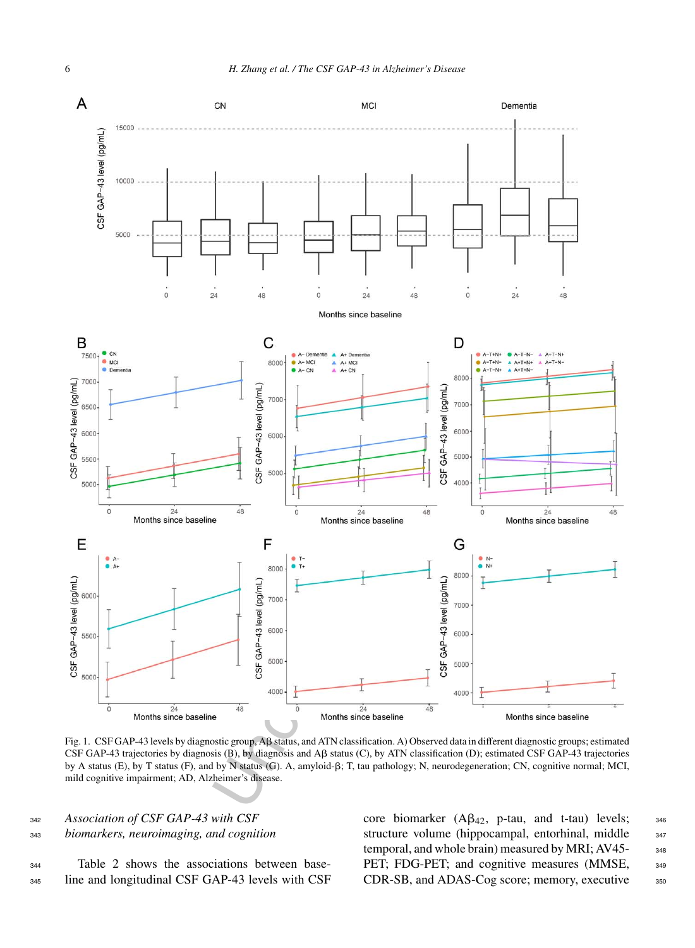

Fig. 1. CSF GAP-43 levels by diagnostic group, Aß status, and ATN classification. A) Observed data in different diagnostic groups; estimated CSF GAP-43 trajectories by diagnosis  $(B)$ , by diagnosis and  $A\beta$  status  $(C)$ , by ATN classification  $(D)$ ; estimated CSF GAP-43 trajectories by A status (E), by T status (F), and by N status (G). A, amyloid-β; T, tau pathology; N, neurodegeneration; CN, cognitive normal; MCI, mild cognitive impairment; AD, Alzheimer's disease.

<sup>342</sup> *Association of CSF GAP-43 with CSF* <sup>343</sup> *biomarkers, neuroimaging, and cognition*

<sup>344</sup> Table 2 shows the associations between base-<sup>345</sup> line and longitudinal CSF GAP-43 levels with CSF

core biomarker  $(A\beta_{42}, p$ -tau, and t-tau) levels; 346 structure volume (hippocampal, entorhinal, middle 347 temporal, and whole brain) measured by MRI; AV45-348 PET; FDG-PET; and cognitive measures (MMSE, 349 CDR-SB, and ADAS-Cog score; memory, executive 350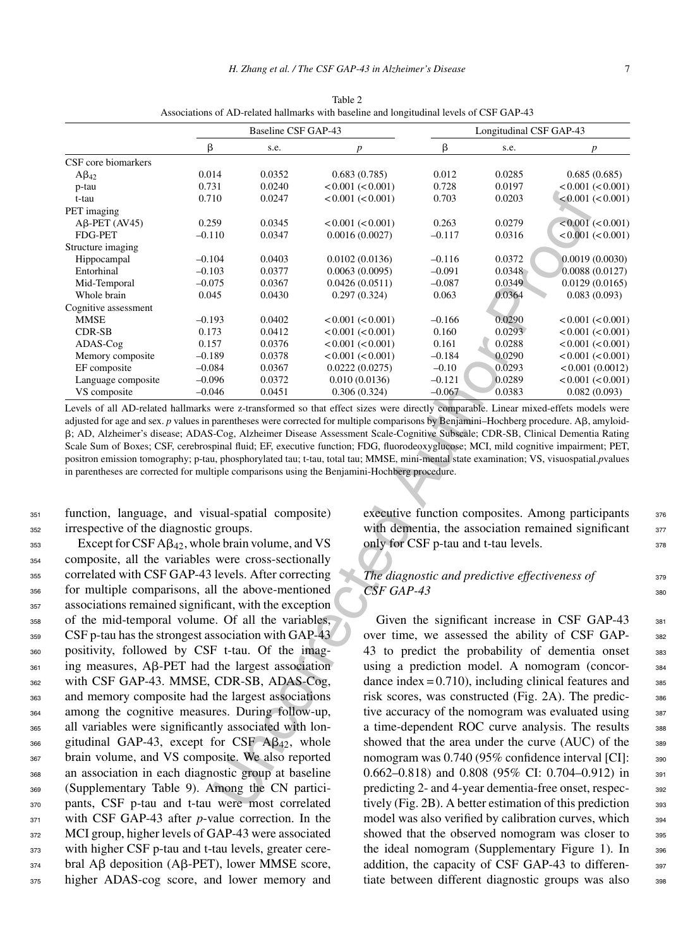|                                                                                                                                                                                                            | Baseline CSF GAP-43                                                                                                           |                  |                               | Longitudinal CSF GAP-43                                                                                  |                  |                                                          |  |  |
|------------------------------------------------------------------------------------------------------------------------------------------------------------------------------------------------------------|-------------------------------------------------------------------------------------------------------------------------------|------------------|-------------------------------|----------------------------------------------------------------------------------------------------------|------------------|----------------------------------------------------------|--|--|
|                                                                                                                                                                                                            | β                                                                                                                             | s.e.             | $\boldsymbol{p}$              | β                                                                                                        | s.e.             | $\boldsymbol{p}$                                         |  |  |
| CSF core biomarkers                                                                                                                                                                                        |                                                                                                                               |                  |                               |                                                                                                          |                  |                                                          |  |  |
| $A\beta_{42}$                                                                                                                                                                                              | 0.014                                                                                                                         | 0.0352           | 0.683(0.785)                  | 0.012                                                                                                    | 0.0285           | 0.685(0.685)                                             |  |  |
| p-tau                                                                                                                                                                                                      | 0.731                                                                                                                         | 0.0240           | < 0.001 (< 0.001)             | 0.728                                                                                                    | 0.0197           | < 0.001 (< 0.001)                                        |  |  |
| t-tau                                                                                                                                                                                                      | 0.710                                                                                                                         | 0.0247           | < 0.001 (< 0.001)             | 0.703                                                                                                    | 0.0203           | < 0.001 (< 0.001)                                        |  |  |
| PET imaging                                                                                                                                                                                                |                                                                                                                               |                  |                               |                                                                                                          |                  |                                                          |  |  |
| $A\beta$ -PET (AV45)                                                                                                                                                                                       | 0.259                                                                                                                         | 0.0345           | < 0.001 (< 0.001)             | 0.263                                                                                                    | 0.0279           | < 0.001 (< 0.001)                                        |  |  |
| FDG-PET                                                                                                                                                                                                    | $-0.110$                                                                                                                      | 0.0347           | 0.0016(0.0027)                | $-0.117$                                                                                                 | 0.0316           | < 0.001 (< 0.001)                                        |  |  |
| Structure imaging                                                                                                                                                                                          |                                                                                                                               |                  |                               |                                                                                                          |                  |                                                          |  |  |
| Hippocampal                                                                                                                                                                                                | $-0.104$                                                                                                                      | 0.0403           | 0.0102(0.0136)                | $-0.116$                                                                                                 | 0.0372           | 0.0019(0.0030)                                           |  |  |
| Entorhinal                                                                                                                                                                                                 | $-0.103$                                                                                                                      | 0.0377           | 0.0063(0.0095)                | $-0.091$                                                                                                 | 0.0348           | 0.0088(0.0127)                                           |  |  |
| Mid-Temporal                                                                                                                                                                                               | $-0.075$                                                                                                                      | 0.0367           | 0.0426(0.0511)                | $-0.087$                                                                                                 | 0.0349           | 0.0129(0.0165)                                           |  |  |
| Whole brain                                                                                                                                                                                                | 0.045                                                                                                                         | 0.0430           | 0.297(0.324)                  | 0.063                                                                                                    | 0.0364           | 0.083(0.093)                                             |  |  |
| Cognitive assessment                                                                                                                                                                                       |                                                                                                                               |                  |                               |                                                                                                          |                  |                                                          |  |  |
| <b>MMSE</b>                                                                                                                                                                                                | $-0.193$                                                                                                                      | 0.0402           | < 0.001 (< 0.001)             | $-0.166$                                                                                                 | 0.0290           | < 0.001 < 0.001                                          |  |  |
| CDR-SB                                                                                                                                                                                                     | 0.173                                                                                                                         | 0.0412           | < 0.001 (< 0.001)             | 0.160                                                                                                    | 0.0293           | $<\!0.001\; (<\!0.001)$                                  |  |  |
| ADAS-Cog                                                                                                                                                                                                   | 0.157                                                                                                                         | 0.0376           | < 0.001 (< 0.001)             | 0.161                                                                                                    | 0.0288           | < 0.001 (< 0.001)                                        |  |  |
| Memory composite                                                                                                                                                                                           | $-0.189$                                                                                                                      | 0.0378           | $<\!0.001\; (<\!0.001)$       | $-0.184$                                                                                                 | 0.0290           | $<\!0.001\; (<\!0.001)$                                  |  |  |
| EF composite                                                                                                                                                                                               | $-0.084$                                                                                                                      | 0.0367           | 0.0222(0.0275)                | $-0.10$<br>$-0.121$                                                                                      | 0.0293           | < 0.001(0.0012)                                          |  |  |
| Language composite<br>VS composite                                                                                                                                                                         | $-0.096$<br>$-0.046$                                                                                                          | 0.0372<br>0.0451 | 0.010(0.0136)<br>0.306(0.324) | $-0.067$                                                                                                 | 0.0289<br>0.0383 | < 0.001 < 0.001<br>0.082(0.093)                          |  |  |
| in parentheses are corrected for multiple comparisons using the Benjamini-Hochberg procedure.                                                                                                              |                                                                                                                               |                  |                               |                                                                                                          |                  |                                                          |  |  |
| function, language, and visual-spatial composite)<br>irrespective of the diagnostic groups.                                                                                                                |                                                                                                                               |                  |                               | executive function composites. Among participants<br>with dementia, the association remained significant |                  |                                                          |  |  |
| Except for CSF $A\beta_{42}$ , whole brain volume, and VS                                                                                                                                                  |                                                                                                                               |                  |                               | only for CSF p-tau and t-tau levels.                                                                     |                  |                                                          |  |  |
| composite, all the variables were cross-sectionally<br>correlated with CSF GAP-43 levels. After correcting                                                                                                 |                                                                                                                               |                  |                               | The diagnostic and predictive effectiveness of                                                           |                  |                                                          |  |  |
| for multiple comparisons, all the above-mentioned                                                                                                                                                          |                                                                                                                               |                  | CSF GAP-43                    |                                                                                                          |                  |                                                          |  |  |
| associations remained significant, with the exception                                                                                                                                                      |                                                                                                                               |                  |                               |                                                                                                          |                  |                                                          |  |  |
| of the mid-temporal volume. Of all the variables,<br>Given the significant increase in CSF GAP-43<br>CSF p-tau has the strongest association with GAP-43<br>over time, we assessed the ability of CSF GAP- |                                                                                                                               |                  |                               |                                                                                                          |                  |                                                          |  |  |
| positivity, followed by CSF t-tau. Of the imag-                                                                                                                                                            |                                                                                                                               |                  |                               | 43 to predict the probability of dementia onset                                                          |                  |                                                          |  |  |
| ing measures, $\mathbf{A}\beta$ -PET had the largest association                                                                                                                                           |                                                                                                                               |                  |                               | using a prediction model. A nomogram (concor-                                                            |                  |                                                          |  |  |
| with CSF GAP-43. MMSE, CDR-SB, ADAS-Cog,                                                                                                                                                                   |                                                                                                                               |                  |                               | dance index = $0.710$ ), including clinical features and                                                 |                  |                                                          |  |  |
| and memory composite had the largest associations                                                                                                                                                          |                                                                                                                               |                  |                               | risk scores, was constructed (Fig. 2A). The predic-                                                      |                  |                                                          |  |  |
| among the cognitive measures. During follow-up,                                                                                                                                                            |                                                                                                                               |                  |                               | tive accuracy of the nomogram was evaluated using                                                        |                  |                                                          |  |  |
|                                                                                                                                                                                                            |                                                                                                                               |                  |                               |                                                                                                          |                  |                                                          |  |  |
|                                                                                                                                                                                                            | all variables were significantly associated with lon-<br>a time-dependent ROC curve analysis. The results                     |                  |                               |                                                                                                          |                  |                                                          |  |  |
|                                                                                                                                                                                                            | gitudinal GAP-43, except for CSF $\mathbf{A}\mathbf{\beta}_{42}$ , whole<br>showed that the area under the curve (AUC) of the |                  |                               |                                                                                                          |                  |                                                          |  |  |
|                                                                                                                                                                                                            | brain volume, and VS composite. We also reported<br>nomogram was 0.740 (95% confidence interval [CI]:                         |                  |                               |                                                                                                          |                  |                                                          |  |  |
| an association in each diagnostic group at baseline                                                                                                                                                        |                                                                                                                               |                  |                               | 0.662-0.818) and 0.808 (95% CI: 0.704-0.912) in                                                          |                  |                                                          |  |  |
| (Supplementary Table 9). Among the CN partici-                                                                                                                                                             |                                                                                                                               |                  |                               |                                                                                                          |                  | predicting 2- and 4-year dementia-free onset, respec-    |  |  |
| pants, CSF p-tau and t-tau were most correlated                                                                                                                                                            |                                                                                                                               |                  |                               |                                                                                                          |                  | tively (Fig. 2B). A better estimation of this prediction |  |  |
|                                                                                                                                                                                                            |                                                                                                                               |                  |                               |                                                                                                          |                  |                                                          |  |  |

Table 2 Associations of AD-related hallmarks with baseline and longitudinal levels of CSF GAP-43

<sup>351</sup> function, language, and visual-spatial composite) <sup>352</sup> irrespective of the diagnostic groups.

 Except for CSF A $\beta_{42}$ , whole brain volume, and VS composite, all the variables were cross-sectionally correlated with CSF GAP-43 levels. After correcting for multiple comparisons, all the above-mentioned associations remained significant, with the exception of the mid-temporal volume. Of all the variables, CSF p-tau has the strongest association with GAP-43 positivity, followed by CSF t-tau. Of the imag- $_{361}$  ing measures, A $\beta$ -PET had the largest association with CSF GAP-43. MMSE, CDR-SB, ADAS-Cog, and memory composite had the largest associations among the cognitive measures. During follow-up, all variables were significantly associated with lon-366 gitudinal GAP-43, except for CSF  $\mathbf{A}\beta_{42}$ , whole brain volume, and VS composite. We also reported an association in each diagnostic group at baseline (Supplementary Table 9). Among the CN partici- pants, CSF p-tau and t-tau were most correlated 371 with CSF GAP-43 after *p*-value correction. In the MCI group, higher levels of GAP-43 were associated with higher CSF p-tau and t-tau levels, greater cere- bral A $\beta$  deposition (A $\beta$ -PET), lower MMSE score, higher ADAS-cog score, and lower memory and

executive function composites. Among participants 376 with dementia, the association remained significant 377 only for CSF p-tau and t-tau levels.  $378$ 

# *The diagnostic and predictive effectiveness of* 379 *CSF GAP-43* 380

Given the significant increase in CSF GAP-43 381 over time, we assessed the ability of CSF GAP- <sup>382</sup> 43 to predict the probability of dementia onset 383 using a prediction model. A nomogram (concor- <sup>384</sup> dance index  $= 0.710$ , including clinical features and  $385$ risk scores, was constructed (Fig. 2A). The predic- <sup>386</sup> tive accuracy of the nomogram was evaluated using  $387$ a time-dependent ROC curve analysis. The results 388 showed that the area under the curve (AUC) of the 389 nomogram was 0.740 (95% confidence interval [CI]: 390 0.662–0.818) and 0.808 (95% CI: 0.704–0.912) in 391 predicting 2- and 4-year dementia-free onset, respec- <sup>392</sup> tively (Fig. 2B). A better estimation of this prediction  $393$ model was also verified by calibration curves, which 394 showed that the observed nomogram was closer to 395 the ideal nomogram (Supplementary Figure 1). In 396 addition, the capacity of CSF GAP-43 to differen-<br>397 tiate between different diagnostic groups was also 398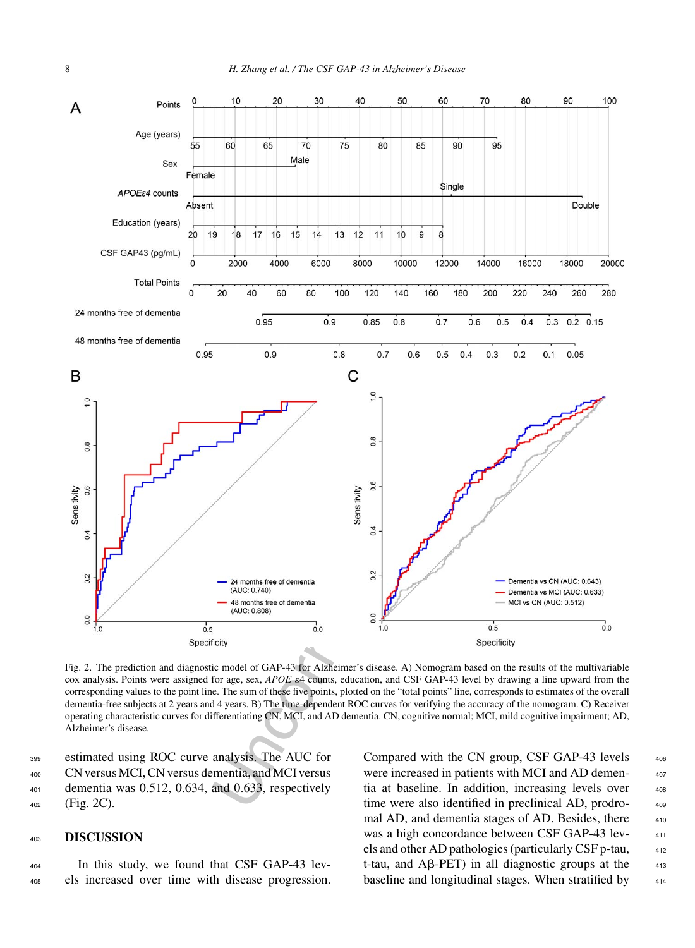

Fig. 2. The prediction and diagnostic model of GAP-43 for Alzheimer's disease. A) Nomogram based on the results of the multivariable cox analysis. Points were assigned for age, sex, *APOE*  $\epsilon$ 4 counts, education, and CSF GAP-43 level by drawing a line upward from the corresponding values to the point line. The sum of these five points, plotted on the "total points" line, corresponds to estimates of the overall dementia-free subjects at 2 years and 4 years. B) The time-dependent ROC curves for verifying the accuracy of the nomogram. C) Receiver operating characteristic curves for differentiating CN, MCI, and AD dementia. CN, cognitive normal; MCI, mild cognitive impairment; AD, Alzheimer's disease.

 estimated using ROC curve analysis. The AUC for CN versus MCI, CN versus dementia, and MCI versus dementia was 0.512, 0.634, and 0.633, respectively (Fig. 2C).

# <sup>403</sup> **DISCUSSION**

<sup>404</sup> In this study, we found that CSF GAP-43 lev-<sup>405</sup> els increased over time with disease progression.

Compared with the CN group, CSF GAP-43 levels  $406$ were increased in patients with MCI and AD dementia at baseline. In addition, increasing levels over  $408$ time were also identified in preclinical AD, prodromal AD, and dementia stages of AD. Besides, there  $410$ was a high concordance between CSF GAP-43 levels and other AD pathologies (particularly CSF p-tau, <sup>412</sup> t-tau, and  $\overline{AB}$ -PET) in all diagnostic groups at the  $\overline{413}$ baseline and longitudinal stages. When stratified by 414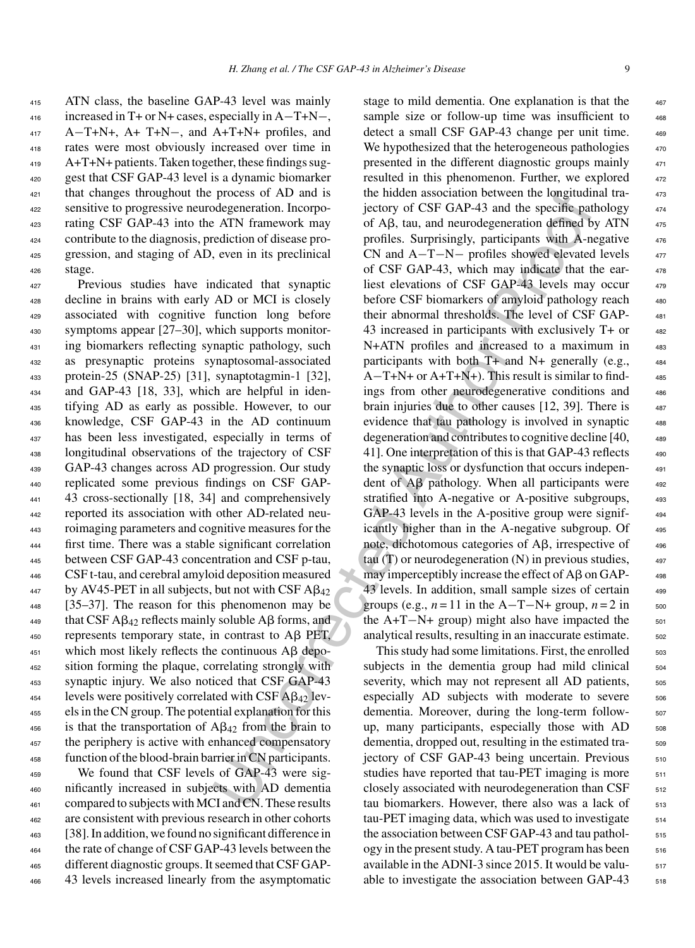ATN class, the baseline GAP-43 level was mainly increased in T+ or N+ cases, especially in A−T+N−, A−T+N+, A+ T+N−, and A+T+N+ profiles, and rates were most obviously increased over time in A+T+N+ patients. Taken together, these findings sug- gest that CSF GAP-43 level is a dynamic biomarker that changes throughout the process of AD and is sensitive to progressive neurodegeneration. Incorpo- rating CSF GAP-43 into the ATN framework may contribute to the diagnosis, prediction of disease pro- gression, and staging of AD, even in its preclinical <sup>426</sup> stage.

 Previous studies have indicated that synaptic decline in brains with early AD or MCI is closely associated with cognitive function long before symptoms appear [27–30], which supports monitor- ing biomarkers reflecting synaptic pathology, such as presynaptic proteins synaptosomal-associated protein-25 (SNAP-25) [31], synaptotagmin-1 [32], and GAP-43 [18, 33], which are helpful in iden- tifying AD as early as possible. However, to our knowledge, CSF GAP-43 in the AD continuum has been less investigated, especially in terms of longitudinal observations of the trajectory of CSF GAP-43 changes across AD progression. Our study replicated some previous findings on CSF GAP- 43 cross-sectionally [18, 34] and comprehensively reported its association with other AD-related neu- roimaging parameters and cognitive measures for the first time. There was a stable significant correlation between CSF GAP-43 concentration and CSF p-tau, CSF t-tau, and cerebral amyloid deposition measured <sup>447</sup> by AV45-PET in all subjects, but not with CSF  $\mathbf{A}\beta_{42}$  [35–37]. The reason for this phenomenon may be 449 that CSF A $\beta_{42}$  reflects mainly soluble A $\beta$  forms, and represents temporary state, in contrast to A $\beta$  PET, 451 which most likely reflects the continuous  $\text{A}\beta$  depo- sition forming the plaque, correlating strongly with synaptic injury. We also noticed that CSF GAP-43 levels were positively correlated with CSF A $\beta_{42}$  lev- els in the CN group. The potential explanation for this 456 is that the transportation of  $A\beta_{42}$  from the brain to <sup>457</sup> the periphery is active with enhanced compensatory function of the blood-brain barrier in CN participants.

 We found that CSF levels of GAP-43 were sig- nificantly increased in subjects with AD dementia 461 compared to subjects with MCI and CN. These results are consistent with previous research in other cohorts [38]. In addition, we found no significant difference in the rate of change of CSF GAP-43 levels between the different diagnostic groups. It seemed that CSF GAP-43 levels increased linearly from the asymptomatic

process of AD and is the Indebtual association between the longitudine<br>degeneration. Incorp-<br>iectory of CSF GAP-43 and the specific pat<br>AIN framework may of AB, tau, and neurodegeneration defined<br>at AIN framework may of A stage to mild dementia. One explanation is that the  $467$ sample size or follow-up time was insufficient to  $468$ detect a small CSF GAP-43 change per unit time. 469 We hypothesized that the heterogeneous pathologies  $470$ presented in the different diagnostic groups mainly <sup>471</sup> resulted in this phenomenon. Further, we explored  $472$ the hidden association between the longitudinal trajectory of CSF GAP-43 and the specific pathology  $474$ of Aβ, tau, and neurodegeneration defined by ATN  $475$ profiles. Surprisingly, participants with A-negative  $476$  $CN$  and  $A-T-N-$  profiles showed elevated levels  $477$ of CSF GAP-43, which may indicate that the ear- <sup>478</sup> liest elevations of CSF GAP-43 levels may occur 479 before CSF biomarkers of amyloid pathology reach 480 their abnormal thresholds. The level of CSF GAP- <sup>481</sup> 43 increased in participants with exclusively T+ or  $482$ N+ATN profiles and increased to a maximum in 483 participants with both  $T+$  and  $N+$  generally (e.g.,  $484$  $A-T+N+$  or  $A+T+N+$ ). This result is similar to findings from other neurodegenerative conditions and <sup>486</sup> brain injuries due to other causes  $[12, 39]$ . There is  $487$ evidence that tau pathology is involved in synaptic <sup>488</sup> degeneration and contributes to cognitive decline [40,  $\qquad$  489 41]. One interpretation of this is that GAP-43 reflects  $490$ the synaptic loss or dysfunction that occurs indepen- <sup>491</sup> dent of  $\overrightarrow{AB}$  pathology. When all participants were  $492$ stratified into A-negative or A-positive subgroups,  $493$ GAP-43 levels in the A-positive group were signif-<br>494 icantly higher than in the A-negative subgroup. Of 495 note, dichotomous categories of  $A\beta$ , irrespective of  $496$ tau  $(T)$  or neurodegeneration  $(N)$  in previous studies,  $497$ may imperceptibly increase the effect of  $\overrightarrow{AB}$  on  $\overrightarrow{GAP}$  498 43 levels. In addition, small sample sizes of certain  $499$ groups (e.g.,  $n = 11$  in the A-T-N+ group,  $n = 2$  in  $500$ the A+T−N+ group) might also have impacted the  $501$ analytical results, resulting in an inaccurate estimate.  $\frac{502}{200}$ 

This study had some limitations. First, the enrolled  $\frac{503}{200}$ subjects in the dementia group had mild clinical <sub>504</sub> severity, which may not represent all AD patients,  $\frac{505}{200}$ especially AD subjects with moderate to severe 506 dementia. Moreover, during the long-term followup, many participants, especially those with AD 508 dementia, dropped out, resulting in the estimated trajectory of CSF GAP-43 being uncertain. Previous  $510$ studies have reported that tau-PET imaging is more  $511$ closely associated with neurodegeneration than CSF  $_{512}$ tau biomarkers. However, there also was a lack of 513 tau-PET imaging data, which was used to investigate  $514$ the association between CSF GAP-43 and tau pathol- $_{515}$ ogy in the present study. A tau-PET program has been  $_{516}$ available in the ADNI-3 since 2015. It would be valu- $_{517}$ able to investigate the association between GAP-43  $\frac{518}{518}$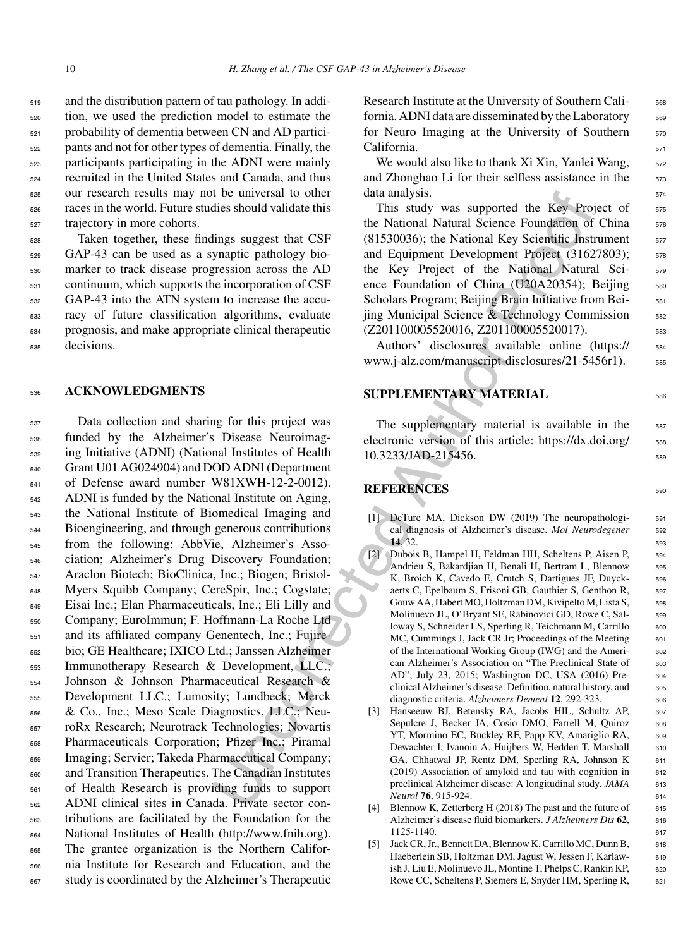and the distribution pattern of tau pathology. In addi- tion, we used the prediction model to estimate the probability of dementia between CN and AD partici- pants and not for other types of dementia. Finally, the participants participating in the ADNI were mainly recruited in the United States and Canada, and thus our research results may not be universal to other races in the world. Future studies should validate this trajectory in more cohorts.

 Taken together, these findings suggest that CSF GAP-43 can be used as a synaptic pathology bio- marker to track disease progression across the AD continuum, which supports the incorporation of CSF GAP-43 into the ATN system to increase the accu- racy of future classification algorithms, evaluate prognosis, and make appropriate clinical therapeutic decisions.

## <sup>536</sup> **ACKNOWLEDGMENTS**

If exercution that a analysis.<br>
The state and the state and the state and the New Properties the New Proof of the National Natural Science Foundation of the National Natural Science of the National Natural Science of the Data collection and sharing for this project was funded by the Alzheimer's Disease Neuroimag- ing Initiative (ADNI) (National Institutes of Health Grant U01 AG024904) and DOD ADNI (Department of Defense award number W81XWH-12-2-0012). ADNI is funded by the National Institute on Aging, the National Institute of Biomedical Imaging and Bioengineering, and through generous contributions from the following: AbbVie, Alzheimer's Asso- ciation; Alzheimer's Drug Discovery Foundation; Araclon Biotech; BioClinica, Inc.; Biogen; Bristol- Myers Squibb Company; CereSpir, Inc.; Cogstate; Eisai Inc.; Elan Pharmaceuticals, Inc.; Eli Lilly and Company; EuroImmun; F. Hoffmann-La Roche Ltd and its affiliated company Genentech, Inc.; Fujire- bio; GE Healthcare; IXICO Ltd.; Janssen Alzheimer Immunotherapy Research & Development, LLC.; Johnson & Johnson Pharmaceutical Research & Development LLC.; Lumosity; Lundbeck; Merck & Co., Inc.; Meso Scale Diagnostics, LLC.; Neu- roRx Research; Neurotrack Technologies; Novartis Pharmaceuticals Corporation; Pfizer Inc.; Piramal Imaging; Servier; Takeda Pharmaceutical Company; and Transition Therapeutics. The Canadian Institutes of Health Research is providing funds to support ADNI clinical sites in Canada. Private sector con- tributions are facilitated by the Foundation for the National Institutes of Health ([http://www.fnih.org\)](http://www.fnih.org). The grantee organization is the Northern Califor- nia Institute for Research and Education, and the study is coordinated by the Alzheimer's Therapeutic

Research Institute at the University of Southern Cali-<br><sub>568</sub> fornia. ADNI data are disseminated by the Laboratory 569 for Neuro Imaging at the University of Southern 570 California. 571

We would also like to thank  $Xi$  Xin, Yanlei Wang,  $572$ and Zhonghao Li for their selfless assistance in the 573 data analysis. 574

This study was supported the Key Project of 575 the National Natural Science Foundation of China 576  $(81530036)$ ; the National Key Scientific Instrument  $577$ and Equipment Development Project (31627803); 578 the Key Project of the National Natural Sci- <sup>579</sup> ence Foundation of China (U20A20354); Beijing 580 Scholars Program; Beijing Brain Initiative from Bei-<br>581 jing Municipal Science & Technology Commission <sup>582</sup> (Z201100005520016, Z201100005520017).

Authors' disclosures available online [\(https://](https://www.j-alz.com/manuscript-disclosures/21-5456r1) 584 www.j-alz.com/manuscript-disclosures/21-5456r1). 585

# **SUPPLEMENTARY MATERIAL** <sup>586</sup>

The supplementary material is available in the 587 electronic version of this article: [https://dx.doi.org/](https://dx.doi.org/10.3233/JAD-215456)  $588$ 10.3233/JAD-215456. 589

## **REFERENCES** 590

- [1] DeTure MA, Dickson DW (2019) The neuropathologi-<br>591 cal diagnosis of Alzheimer's disease. *Mol Neurodegener* 592 **14**, 32. 593
- [2] Dubois B, Hampel H, Feldman HH, Scheltens P, Aisen P, 594 Andrieu S, Bakardjian H, Benali H, Bertram L, Blennow <sup>595</sup> K, Broich K, Cavedo E, Crutch S, Dartigues JF, Duyck- 596 aerts C, Epelbaum S, Frisoni GB, Gauthier S, Genthon R, 597 Gouw AA, Habert MO, Holtzman DM, Kivipelto M, Lista S, 598 Molinuevo JL, O'Bryant SE, Rabinovici GD, Rowe C, Salloway S, Schneider LS, Sperling R, Teichmann M, Carrillo 600 MC, Cummings J, Jack CR Jr; Proceedings of the Meeting 601 of the International Working Group (IWG) and the Ameri- <sup>602</sup> can Alzheimer's Association on "The Preclinical State of 603 AD"; July 23, 2015; Washington DC, USA (2016) Pre- <sup>604</sup> clinical Alzheimer's disease: Definition, natural history, and 605 diagnostic criteria. *Alzheimers Dement* **12**, 292-323. 606
- [3] Hanseeuw BJ, Betensky RA, Jacobs HIL, Schultz AP, 607 Sepulcre J, Becker JA, Cosio DMO, Farrell M, Quiroz 608 YT, Mormino EC, Buckley RF, Papp KV, Amariglio RA, 609 Dewachter I, Ivanoiu A, Huijbers W, Hedden T, Marshall 610 GA, Chhatwal JP, Rentz DM, Sperling RA, Johnson K 611  $(2019)$  Association of amyloid and tau with cognition in 612 preclinical Alzheimer disease: A longitudinal study. *JAMA* 613 *Neurol* **76**, 915-924. <sup>614</sup>
- [4] Blennow K, Zetterberg H (2018) The past and the future of 615 Alzheimer's disease fluid biomarkers. *J Alzheimers Dis* 62, 616 1125-1140. <sup>617</sup>
- [5] Jack CR, Jr., Bennett DA, Blennow K, Carrillo MC, Dunn B, 618 Haeberlein SB, Holtzman DM, Jagust W, Jessen F, Karlaw- 619 ish J, Liu E, Molinuevo JL, Montine T, Phelps C, Rankin KP, 620 Rowe CC, Scheltens P, Siemers E, Snyder HM, Sperling R, 621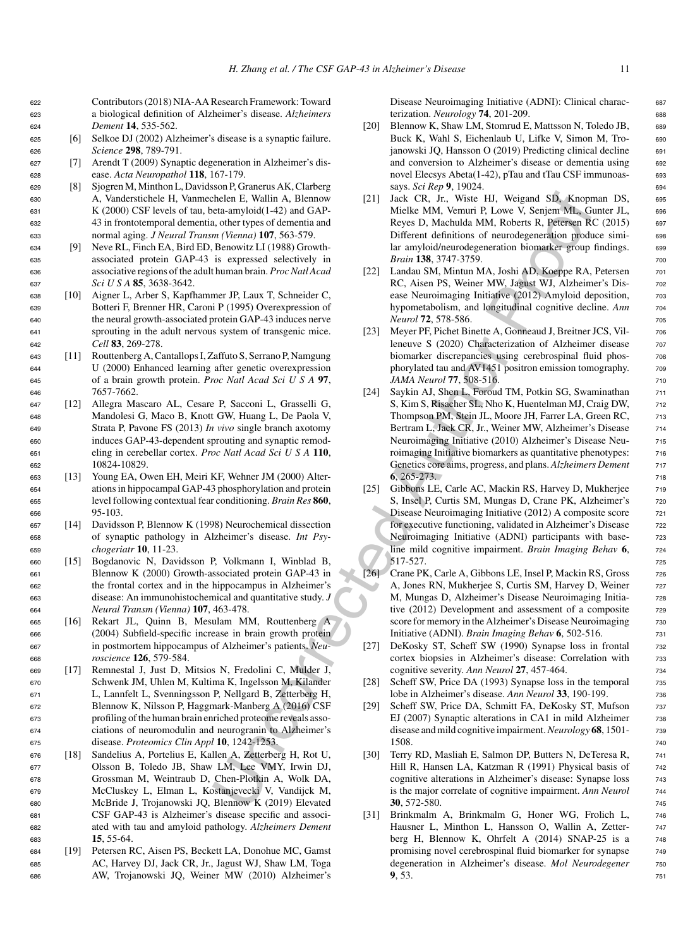<sup>622</sup> Contributors (2018) NIA-AA Research Framework: Toward <sup>623</sup> a biological definition of Alzheimer's disease. *Alzheimers* <sup>624</sup> *Dement* **14**, 535-562.

- <sup>625</sup> [6] Selkoe DJ (2002) Alzheimer's disease is a synaptic failure. <sup>626</sup> *Science* **298**, 789-791.
- <sup>627</sup> [7] Arendt T (2009) Synaptic degeneration in Alzheimer's dis-<sup>628</sup> ease. *Acta Neuropathol* **118**, 167-179.
- <sup>629</sup> [8] Sjogren M, Minthon L, Davidsson P, Granerus AK, Clarberg <sup>630</sup> A, Vanderstichele H, Vanmechelen E, Wallin A, Blennow <sup>631</sup> K (2000) CSF levels of tau, beta-amyloid(1-42) and GAP-<sup>632</sup> 43 in frontotemporal dementia, other types of dementia and <sup>633</sup> normal aging. *J Neural Transm (Vienna)* **107**, 563-579.
- <sup>634</sup> [9] Neve RL, Finch EA, Bird ED, Benowitz LI (1988) Growth-<sup>635</sup> associated protein GAP-43 is expressed selectively in <sup>636</sup> associative regions of the adult human brain. *Proc Natl Acad* <sup>637</sup> *Sci U S A* **85**, 3638-3642.
- <sup>638</sup> [10] Aigner L, Arber S, Kapfhammer JP, Laux T, Schneider C, <sup>639</sup> Botteri F, Brenner HR, Caroni P (1995) Overexpression of <sup>640</sup> the neural growth-associated protein GAP-43 induces nerve <sup>641</sup> sprouting in the adult nervous system of transgenic mice. <sup>642</sup> *Cell* **83**, 269-278.
- <sup>643</sup> [11] Routtenberg A, Cantallops I, Zaffuto S, Serrano P, Namgung <sup>644</sup> U (2000) Enhanced learning after genetic overexpression <sup>645</sup> of a brain growth protein. *Proc Natl Acad Sci U S A* **97**, <sup>646</sup> 7657-7662.
- <sup>647</sup> [12] Allegra Mascaro AL, Cesare P, Sacconi L, Grasselli G, <sup>648</sup> Mandolesi G, Maco B, Knott GW, Huang L, De Paola V, <sup>649</sup> Strata P, Pavone FS (2013) *In vivo* single branch axotomy <sup>650</sup> induces GAP-43-dependent sprouting and synaptic remod-<sup>651</sup> eling in cerebellar cortex. *Proc Natl Acad Sci U S A* **110**, <sup>652</sup> 10824-10829.
- <sup>653</sup> [13] Young EA, Owen EH, Meiri KF, Wehner JM (2000) Alter-<sup>654</sup> ations in hippocampal GAP-43 phosphorylation and protein <sup>655</sup> level following contextual fear conditioning. *Brain Res* **860**, <sup>656</sup> 95-103.
- <sup>657</sup> [14] Davidsson P, Blennow K (1998) Neurochemical dissection <sup>658</sup> of synaptic pathology in Alzheimer's disease. *Int Psy-*<sup>659</sup> *chogeriatr* **10**, 11-23.
- <sup>660</sup> [15] Bogdanovic N, Davidsson P, Volkmann I, Winblad B, <sup>661</sup> Blennow K (2000) Growth-associated protein GAP-43 in <sup>662</sup> the frontal cortex and in the hippocampus in Alzheimer's <sup>663</sup> disease: An immunohistochemical and quantitative study. *J* <sup>664</sup> *Neural Transm (Vienna)* **107**, 463-478.
- <sup>665</sup> [16] Rekart JL, Quinn B, Mesulam MM, Routtenberg A <sup>666</sup> (2004) Subfield-specific increase in brain growth protein <sup>667</sup> in postmortem hippocampus of Alzheimer's patients. *Neu-*<sup>668</sup> *roscience* **126**, 579-584.
- <sup>669</sup> [17] Remnestal J, Just D, Mitsios N, Fredolini C, Mulder J, <sup>670</sup> Schwenk JM, Uhlen M, Kultima K, Ingelsson M, Kilander <sup>671</sup> L, Lannfelt L, Svenningsson P, Nellgard B, Zetterberg H, <sup>672</sup> Blennow K, Nilsson P, Haggmark-Manberg A (2016) CSF <sup>673</sup> profiling of the human brain enriched proteome reveals asso-<sup>674</sup> ciations of neuromodulin and neurogranin to Alzheimer's <sup>675</sup> disease. *Proteomics Clin Appl* **10**, 1242-1253.
- <sup>676</sup> [18] Sandelius A, Portelius E, Kallen A, Zetterberg H, Rot U, <sup>677</sup> Olsson B, Toledo JB, Shaw LM, Lee VMY, Irwin DJ, <sup>678</sup> Grossman M, Weintraub D, Chen-Plotkin A, Wolk DA, <sup>679</sup> McCluskey L, Elman L, Kostanjevecki V, Vandijck M, <sup>680</sup> McBride J, Trojanowski JQ, Blennow K (2019) Elevated <sup>681</sup> CSF GAP-43 is Alzheimer's disease specific and associ-<sup>682</sup> ated with tau and amyloid pathology. *Alzheimers Dement* <sup>683</sup> **15**, 55-64.
- <sup>684</sup> [19] Petersen RC, Aisen PS, Beckett LA, Donohue MC, Gamst <sup>685</sup> AC, Harvey DJ, Jack CR, Jr., Jagust WJ, Shaw LM, Toga <sup>686</sup> AW, Trojanowski JQ, Weiner MW (2010) Alzheimer's

Disease Neuroimaging Initiative (ADNI): Clinical charac- <sup>687</sup> terization. *Neurology* **74**, 201-209. <sup>688</sup>

- [20] Blennow K, Shaw LM, Stomrud E, Mattsson N, Toledo JB, 689 Buck K, Wahl S, Eichenlaub U, Lifke V, Simon M, Tro- 690 janowski JQ, Hansson O (2019) Predicting clinical decline 691 and conversion to Alzheimer's disease or dementia using 692 novel Elecsys Abeta(1-42), pTau and tTau CSF immunoas- 693 says. *Sci Rep* **9**, 19024. <sup>694</sup>
- [21] Jack CR, Jr., Wiste HJ, Weigand SD, Knopman DS, 695 Mielke MM, Vemuri P, Lowe V, Senjem ML, Gunter JL, <sup>696</sup> Reyes D, Machulda MM, Roberts R, Petersen RC (2015) <sup>697</sup> Different definitions of neurodegeneration produce simi- <sup>698</sup> lar amyloid/neurodegeneration biomarker group findings. 699 *Brain* **138**, 3747-3759. 700
- [22] Landau SM, Mintun MA, Joshi AD, Koeppe RA, Petersen 701 RC, Aisen PS, Weiner MW, Jagust WJ, Alzheimer's Dis- <sup>702</sup> ease Neuroimaging Initiative (2012) Amyloid deposition,  $\qquad$  703 hypometabolism, and longitudinal cognitive decline. Ann 704 *Neurol* **72**, 578-586. <sup>705</sup>
- [23] Meyer PF, Pichet Binette A, Gonneaud J, Breitner JCS, Villeneuve S (2020) Characterization of Alzheimer disease 707 biomarker discrepancies using cerebrospinal fluid phos-<br>  $708$ phorylated tau and AV1451 positron emission tomography.  $\frac{708}{20}$ *JAMA Neurol* **77**, 508-516. 710
- chearly, and Binnow (21) Jack CR, in Water UNcorrected Author (18) and SO, Koopey (18) and SO, Koopey (18) and SO, Koopey (18) and SO (18) (18) and SO (18) (18) and SO (18) (18) and SO (18) (18) and SO (18) (18) (18) (18) [24] Saykin AJ, Shen L, Foroud TM, Potkin SG, Swaminathan 711 S, Kim S, Risacher SL, Nho K, Huentelman MJ, Craig DW, 712 Thompson PM, Stein JL, Moore JH, Farrer LA, Green RC, 713 Bertram L, Jack CR, Jr., Weiner MW, Alzheimer's Disease 714 Neuroimaging Initiative (2010) Alzheimer's Disease Neu- <sup>715</sup> roimaging Initiative biomarkers as quantitative phenotypes:  $\frac{716}{2}$ Genetics core aims, progress, and plans. *Alzheimers Dement* <sup>717</sup> **6**, 265-273. <sup>718</sup>
	- [25] Gibbons LE, Carle AC, Mackin RS, Harvey D, Mukherjee 719 S, Insel P, Curtis SM, Mungas D, Crane PK, Alzheimer's 720 Disease Neuroimaging Initiative (2012) A composite score 721 for executive functioning, validated in Alzheimer's Disease 722 Neuroimaging Initiative (ADNI) participants with base-<br>  $723$ line mild cognitive impairment. *Brain Imaging Behav* **6**, <sup>724</sup> 517-527. 725
	- [26] Crane PK, Carle A, Gibbons LE, Insel P, Mackin RS, Gross 726 A, Jones RN, Mukherjee S, Curtis SM, Harvey D, Weiner 727 M, Mungas D, Alzheimer's Disease Neuroimaging Initia- <sup>728</sup> tive (2012) Development and assessment of a composite 729 score for memory in the Alzheimer's Disease Neuroimaging 730 Initiative (ADNI). *Brain Imaging Behav* **6**, 502-516. <sup>731</sup>
	- [27] DeKosky ST, Scheff SW (1990) Synapse loss in frontal 732 cortex biopsies in Alzheimer's disease: Correlation with <sup>733</sup> cognitive severity. *Ann Neurol* **27**, 457-464. <sup>734</sup>
	- [28] Scheff SW, Price DA (1993) Synapse loss in the temporal 735 lobe in Alzheimer's disease. *Ann Neurol* **33**, 190-199. <sup>736</sup>
	- [29] Scheff SW, Price DA, Schmitt FA, DeKosky ST, Mufson 737 EJ (2007) Synaptic alterations in CA1 in mild Alzheimer 738 disease and mild cognitive impairment.*Neurology* **68**, 1501- <sup>739</sup> 1508. <sup>740</sup>
	- [30] Terry RD, Masliah E, Salmon DP, Butters N, DeTeresa R,  $\frac{741}{241}$ Hill R, Hansen LA, Katzman R (1991) Physical basis of 742 cognitive alterations in Alzheimer's disease: Synapse loss 743 is the major correlate of cognitive impairment. *Ann Neurol* <sup>744</sup> **30**, 572-580. <sup>745</sup>
	- [31] Brinkmalm A, Brinkmalm G, Honer WG, Frolich L, 746 Hausner L, Minthon L, Hansson O, Wallin A, Zetter- 747 berg H, Blennow K, Ohrfelt A (2014) SNAP-25 is a 748 promising novel cerebrospinal fluid biomarker for synapse 749 degeneration in Alzheimer's disease. Mol Neurodegener 750 **9**, 53. <sup>751</sup>